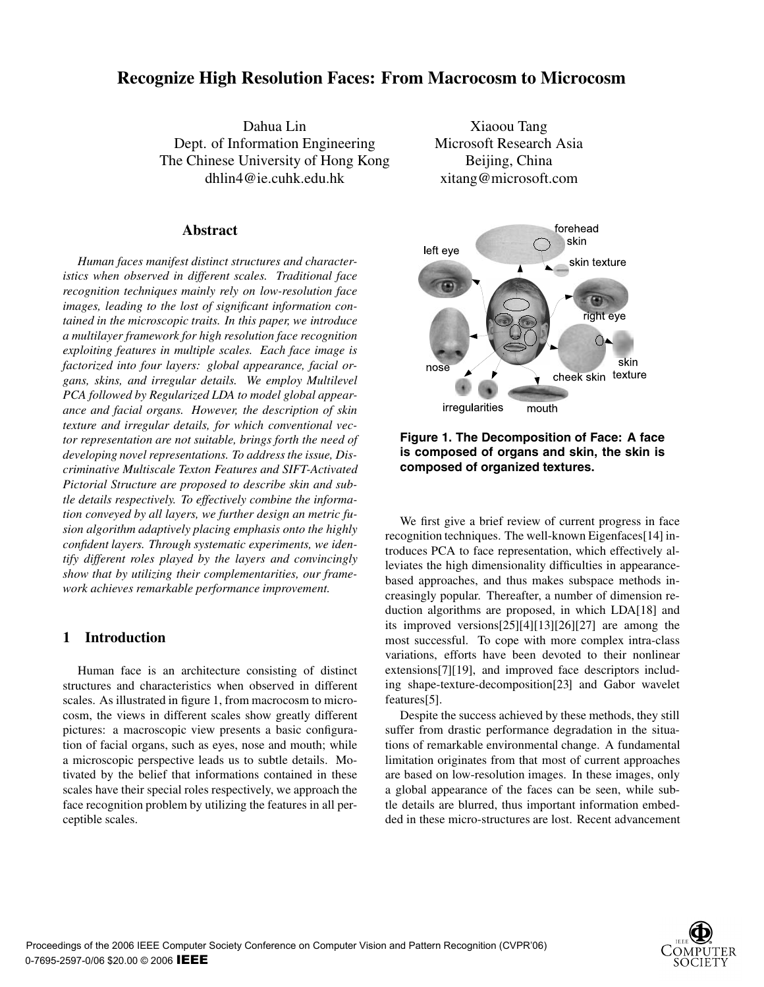# **Recognize High Resolution Faces: From Macrocosm to Microcosm**

Dahua Lin Dept. of Information Engineering The Chinese University of Hong Kong dhlin4@ie.cuhk.edu.hk

## **Abstract**

*Human faces manifest distinct structures and characteristics when observed in different scales. Traditional face recognition techniques mainly rely on low-resolution face images, leading to the lost of significant information contained in the microscopic traits. In this paper, we introduce a multilayer framework for high resolution face recognition exploiting features in multiple scales. Each face image is factorized into four layers: global appearance, facial organs, skins, and irregular details. We employ Multilevel PCA followed by Regularized LDA to model global appearance and facial organs. However, the description of skin texture and irregular details, for which conventional vector representation are not suitable, brings forth the need of developing novel representations. To address the issue, Discriminative Multiscale Texton Features and SIFT-Activated Pictorial Structure are proposed to describe skin and subtle details respectively. To effectively combine the information conveyed by all layers, we further design an metric fusion algorithm adaptively placing emphasis onto the highly confident layers. Through systematic experiments, we identify different roles played by the layers and convincingly show that by utilizing their complementarities, our framework achieves remarkable performance improvement.*

## **1 Introduction**

Human face is an architecture consisting of distinct structures and characteristics when observed in different scales. As illustrated in figure 1, from macrocosm to microcosm, the views in different scales show greatly different pictures: a macroscopic view presents a basic configuration of facial organs, such as eyes, nose and mouth; while a microscopic perspective leads us to subtle details. Motivated by the belief that informations contained in these scales have their special roles respectively, we approach the face recognition problem by utilizing the features in all perceptible scales.

Xiaoou Tang Microsoft Research Asia Beijing, China xitang@microsoft.com



**Figure 1. The Decomposition of Face: A face is composed of organs and skin, the skin is composed of organized textures.**

We first give a brief review of current progress in face recognition techniques. The well-known Eigenfaces[14] introduces PCA to face representation, which effectively alleviates the high dimensionality difficulties in appearancebased approaches, and thus makes subspace methods increasingly popular. Thereafter, a number of dimension reduction algorithms are proposed, in which LDA[18] and its improved versions[25][4][13][26][27] are among the most successful. To cope with more complex intra-class variations, efforts have been devoted to their nonlinear extensions[7][19], and improved face descriptors including shape-texture-decomposition[23] and Gabor wavelet features[5].

Despite the success achieved by these methods, they still suffer from drastic performance degradation in the situations of remarkable environmental change. A fundamental limitation originates from that most of current approaches are based on low-resolution images. In these images, only a global appearance of the faces can be seen, while subtle details are blurred, thus important information embedded in these micro-structures are lost. Recent advancement

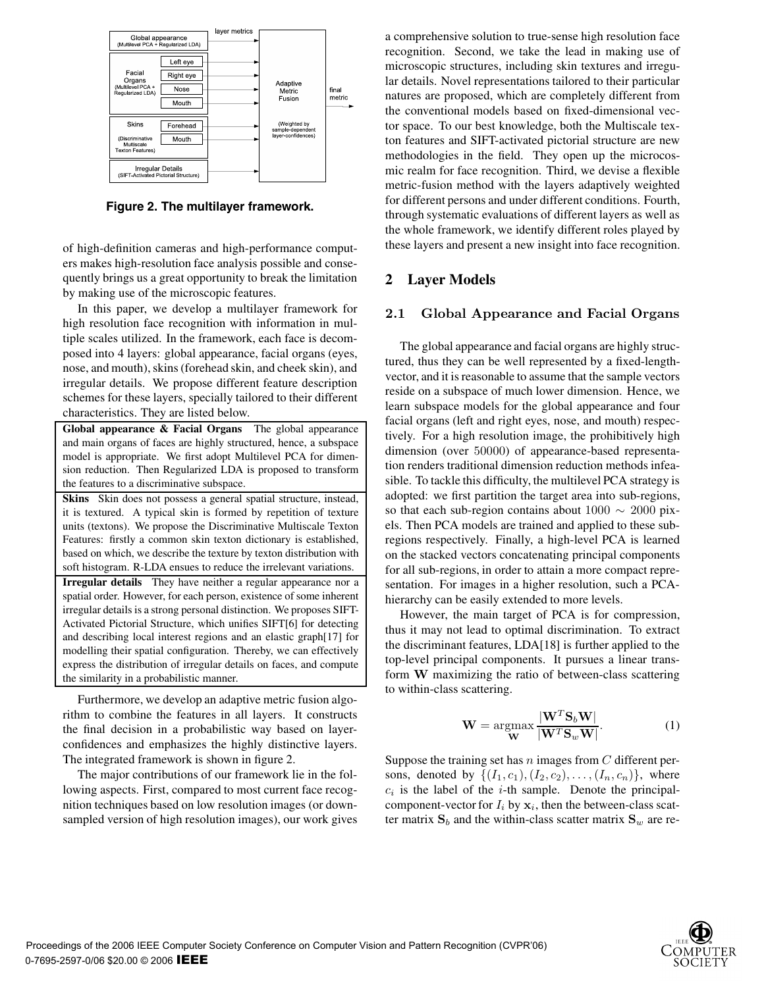

**Figure 2. The multilayer framework.**

of high-definition cameras and high-performance computers makes high-resolution face analysis possible and consequently brings us a great opportunity to break the limitation by making use of the microscopic features.

In this paper, we develop a multilayer framework for high resolution face recognition with information in multiple scales utilized. In the framework, each face is decomposed into 4 layers: global appearance, facial organs (eyes, nose, and mouth), skins (forehead skin, and cheek skin), and irregular details. We propose different feature description schemes for these layers, specially tailored to their different characteristics. They are listed below.

**Global appearance & Facial Organs** The global appearance and main organs of faces are highly structured, hence, a subspace model is appropriate. We first adopt Multilevel PCA for dimension reduction. Then Regularized LDA is proposed to transform the features to a discriminative subspace.

**Skins** Skin does not possess a general spatial structure, instead, it is textured. A typical skin is formed by repetition of texture units (textons). We propose the Discriminative Multiscale Texton Features: firstly a common skin texton dictionary is established, based on which, we describe the texture by texton distribution with soft histogram. R-LDA ensues to reduce the irrelevant variations.

**Irregular details** They have neither a regular appearance nor a spatial order. However, for each person, existence of some inherent irregular details is a strong personal distinction. We proposes SIFT-Activated Pictorial Structure, which unifies SIFT[6] for detecting and describing local interest regions and an elastic graph[17] for modelling their spatial configuration. Thereby, we can effectively express the distribution of irregular details on faces, and compute the similarity in a probabilistic manner.

Furthermore, we develop an adaptive metric fusion algorithm to combine the features in all layers. It constructs the final decision in a probabilistic way based on layerconfidences and emphasizes the highly distinctive layers. The integrated framework is shown in figure 2.

The major contributions of our framework lie in the following aspects. First, compared to most current face recognition techniques based on low resolution images (or downsampled version of high resolution images), our work gives a comprehensive solution to true-sense high resolution face recognition. Second, we take the lead in making use of microscopic structures, including skin textures and irregular details. Novel representations tailored to their particular natures are proposed, which are completely different from the conventional models based on fixed-dimensional vector space. To our best knowledge, both the Multiscale texton features and SIFT-activated pictorial structure are new methodologies in the field. They open up the microcosmic realm for face recognition. Third, we devise a flexible metric-fusion method with the layers adaptively weighted for different persons and under different conditions. Fourth, through systematic evaluations of different layers as well as the whole framework, we identify different roles played by these layers and present a new insight into face recognition.

## **2 Layer Models**

#### **2.1 Global Appearance and Facial Organs**

The global appearance and facial organs are highly structured, thus they can be well represented by a fixed-lengthvector, and it is reasonable to assume that the sample vectors reside on a subspace of much lower dimension. Hence, we learn subspace models for the global appearance and four facial organs (left and right eyes, nose, and mouth) respectively. For a high resolution image, the prohibitively high dimension (over 50000) of appearance-based representation renders traditional dimension reduction methods infeasible. To tackle this difficulty, the multilevel PCA strategy is adopted: we first partition the target area into sub-regions, so that each sub-region contains about  $1000 \sim 2000$  pixels. Then PCA models are trained and applied to these subregions respectively. Finally, a high-level PCA is learned on the stacked vectors concatenating principal components for all sub-regions, in order to attain a more compact representation. For images in a higher resolution, such a PCAhierarchy can be easily extended to more levels.

However, the main target of PCA is for compression, thus it may not lead to optimal discrimination. To extract the discriminant features, LDA[18] is further applied to the top-level principal components. It pursues a linear transform **W** maximizing the ratio of between-class scattering to within-class scattering.

$$
\mathbf{W} = \underset{\mathbf{W}}{\operatorname{argmax}} \frac{|\mathbf{W}^T \mathbf{S}_b \mathbf{W}|}{|\mathbf{W}^T \mathbf{S}_w \mathbf{W}|}. \tag{1}
$$

Suppose the training set has  $n$  images from  $C$  different persons, denoted by  $\{(I_1, c_1), (I_2, c_2), \ldots, (I_n, c_n)\}\$ , where  $c_i$  is the label of the *i*-th sample. Denote the principalcomponent-vector for  $I_i$  by  $\mathbf{x}_i$ , then the between-class scatter matrix  $S_b$  and the within-class scatter matrix  $S_w$  are re-

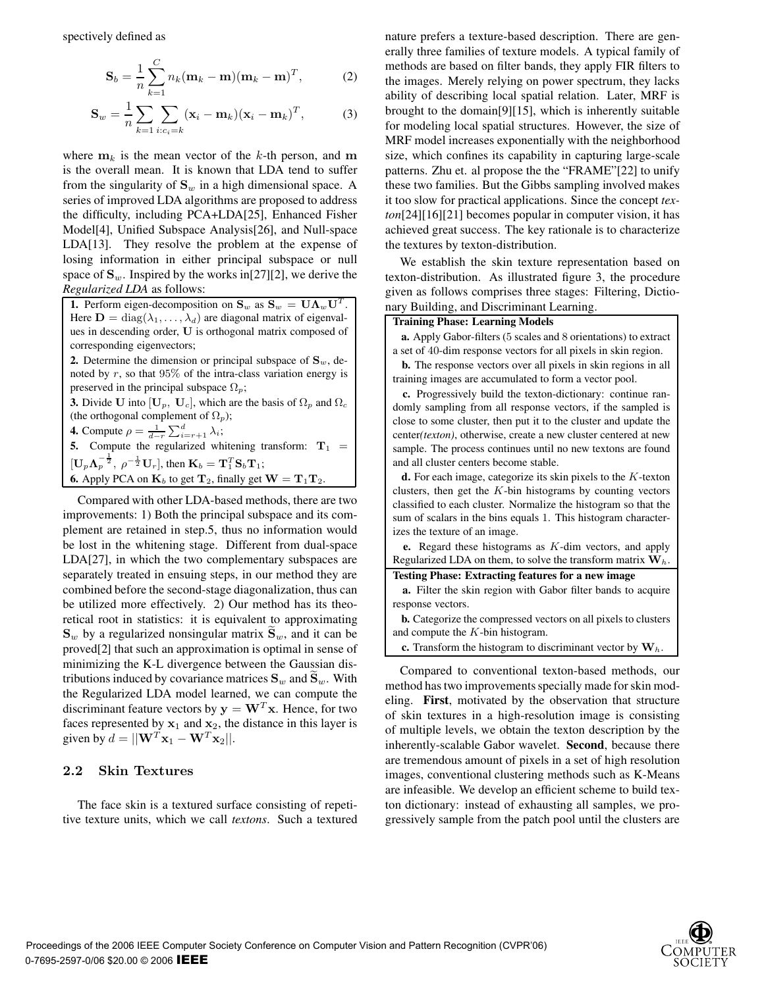$$
\mathbf{S}_b = \frac{1}{n} \sum_{k=1}^{C} n_k (\mathbf{m}_k - \mathbf{m}) (\mathbf{m}_k - \mathbf{m})^T, \tag{2}
$$

$$
\mathbf{S}_w = \frac{1}{n} \sum_{k=1} \sum_{i:c_i=k} (\mathbf{x}_i - \mathbf{m}_k)(\mathbf{x}_i - \mathbf{m}_k)^T, \tag{3}
$$

where  $\mathbf{m}_k$  is the mean vector of the k-th person, and  $\mathbf{m}$ is the overall mean. It is known that LDA tend to suffer from the singularity of  $S_w$  in a high dimensional space. A series of improved LDA algorithms are proposed to address the difficulty, including PCA+LDA[25], Enhanced Fisher Model[4], Unified Subspace Analysis[26], and Null-space LDA[13]. They resolve the problem at the expense of losing information in either principal subspace or null space of **S**w. Inspired by the works in[27][2], we derive the *Regularized LDA* as follows:

**1.** Perform eigen-decomposition on  $\mathbf{S}_w$  as  $\mathbf{S}_w = \mathbf{U}\mathbf{\Lambda}_w\mathbf{U}^T$ . Here  $\mathbf{D} = \text{diag}(\lambda_1, \dots, \lambda_d)$  are diagonal matrix of eigenvalues in descending order, **U** is orthogonal matrix composed of corresponding eigenvectors;

**2.** Determine the dimension or principal subspace of  $\mathbf{S}_w$ , denoted by  $r$ , so that  $95\%$  of the intra-class variation energy is preserved in the principal subspace  $\Omega_p$ ;

**3.** Divide **U** into  $[\mathbf{U}_p, \mathbf{U}_c]$ , which are the basis of  $\Omega_p$  and  $\Omega_c$ (the orthogonal complement of  $\Omega_p$ );

**4.** Compute  $\rho = \frac{1}{d-r} \sum_{i=r+1}^{d} \lambda_i$ ;

**5.** Compute the regularized whitening transform:  $T_1$  =  $[\mathbf{U}_p \Lambda_p^{-\frac{1}{2}}, \rho^{-\frac{1}{2}} \mathbf{U}_r]$ , then  $\mathbf{K}_b = \mathbf{T}_1^T \mathbf{S}_b \mathbf{T}_1$ ; **6.** Apply PCA on  $\mathbf{K}_b$  to get  $\mathbf{T}_2$ , finally get  $\mathbf{W} = \mathbf{T}_1 \mathbf{T}_2$ .

Compared with other LDA-based methods, there are two improvements: 1) Both the principal subspace and its complement are retained in step.5, thus no information would be lost in the whitening stage. Different from dual-space LDA[27], in which the two complementary subspaces are separately treated in ensuing steps, in our method they are combined before the second-stage diagonalization, thus can be utilized more effectively. 2) Our method has its theoretical root in statistics: it is equivalent to approximating  $\mathbf{S}_w$  by a regularized nonsingular matrix  $\mathbf{S}_w$ , and it can be proved[2] that such an approximation is optimal in sense of minimizing the K-L divergence between the Gaussian distributions induced by covariance matrices  $\mathbf{S}_w$  and  $\mathbf{S}_w$ . With the Regularized LDA model learned, we can compute the discriminant feature vectors by  $y = W<sup>T</sup>x$ . Hence, for two faces represented by  $x_1$  and  $x_2$ , the distance in this layer is given by  $d = ||\mathbf{W}^T \mathbf{x}_1 - \mathbf{W}^T \mathbf{x}_2||$ .

## **2.2 Skin Textures**

The face skin is a textured surface consisting of repetitive texture units, which we call *textons*. Such a textured nature prefers a texture-based description. There are generally three families of texture models. A typical family of methods are based on filter bands, they apply FIR filters to the images. Merely relying on power spectrum, they lacks ability of describing local spatial relation. Later, MRF is brought to the domain[9][15], which is inherently suitable for modeling local spatial structures. However, the size of MRF model increases exponentially with the neighborhood size, which confines its capability in capturing large-scale patterns. Zhu et. al propose the the "FRAME"[22] to unify these two families. But the Gibbs sampling involved makes it too slow for practical applications. Since the concept *texton*[24][16][21] becomes popular in computer vision, it has achieved great success. The key rationale is to characterize the textures by texton-distribution.

We establish the skin texture representation based on texton-distribution. As illustrated figure 3, the procedure given as follows comprises three stages: Filtering, Dictionary Building, and Discriminant Learning.

#### **Training Phase: Learning Models**

**a.** Apply Gabor-filters (5 scales and 8 orientations) to extract a set of 40-dim response vectors for all pixels in skin region.

**b.** The response vectors over all pixels in skin regions in all training images are accumulated to form a vector pool.

**c.** Progressively build the texton-dictionary: continue randomly sampling from all response vectors, if the sampled is close to some cluster, then put it to the cluster and update the center*(texton)*, otherwise, create a new cluster centered at new sample. The process continues until no new textons are found and all cluster centers become stable.

**d.** For each image, categorize its skin pixels to the K-texton clusters, then get the  $K$ -bin histograms by counting vectors classified to each cluster. Normalize the histogram so that the sum of scalars in the bins equals 1. This histogram characterizes the texture of an image.

**e.** Regard these histograms as K-dim vectors, and apply Regularized LDA on them, to solve the transform matrix  $W_h$ .

**Testing Phase: Extracting features for a new image**

**a.** Filter the skin region with Gabor filter bands to acquire response vectors.

**b.** Categorize the compressed vectors on all pixels to clusters and compute the  $K$ -bin histogram.

**c.** Transform the histogram to discriminant vector by  $W_h$ .

Compared to conventional texton-based methods, our method has two improvements specially made for skin modeling. **First**, motivated by the observation that structure of skin textures in a high-resolution image is consisting of multiple levels, we obtain the texton description by the inherently-scalable Gabor wavelet. **Second**, because there are tremendous amount of pixels in a set of high resolution images, conventional clustering methods such as K-Means are infeasible. We develop an efficient scheme to build texton dictionary: instead of exhausting all samples, we progressively sample from the patch pool until the clusters are

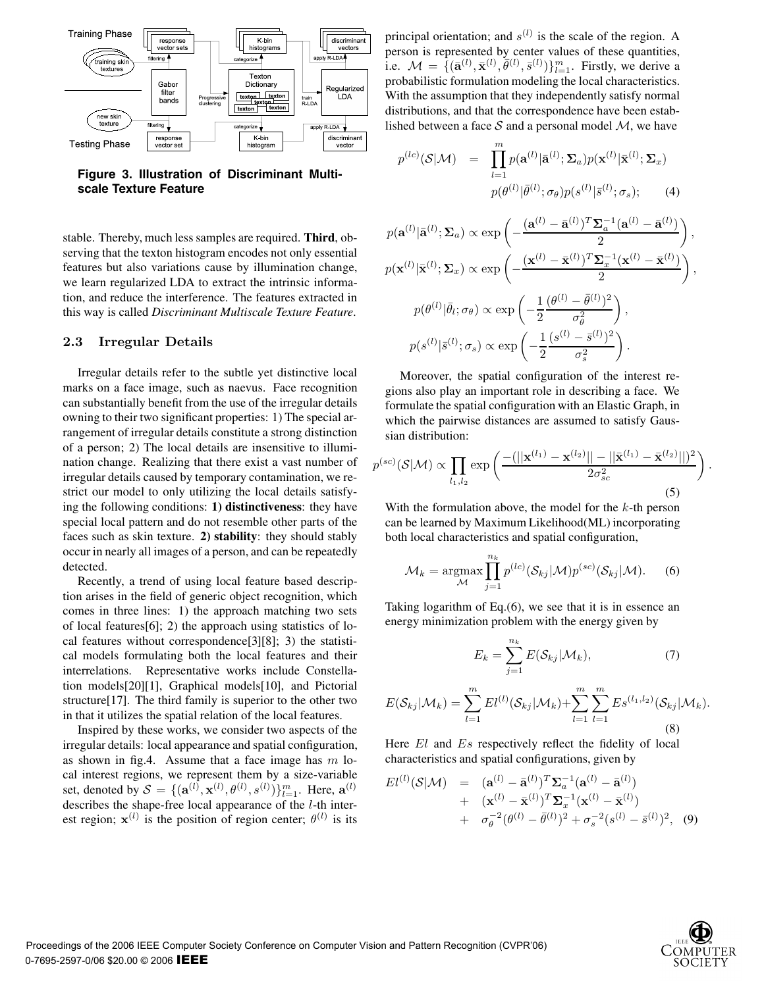

**Figure 3. Illustration of Discriminant Multiscale Texture Feature**

stable. Thereby, much less samples are required. **Third**, observing that the texton histogram encodes not only essential features but also variations cause by illumination change, we learn regularized LDA to extract the intrinsic information, and reduce the interference. The features extracted in this way is called *Discriminant Multiscale Texture Feature*.

#### **2.3 Irregular Details**

Irregular details refer to the subtle yet distinctive local marks on a face image, such as naevus. Face recognition can substantially benefit from the use of the irregular details owning to their two significant properties: 1) The special arrangement of irregular details constitute a strong distinction of a person; 2) The local details are insensitive to illumination change. Realizing that there exist a vast number of irregular details caused by temporary contamination, we restrict our model to only utilizing the local details satisfying the following conditions: **1) distinctiveness**: they have special local pattern and do not resemble other parts of the faces such as skin texture. **2) stability**: they should stably occur in nearly all images of a person, and can be repeatedly detected.

Recently, a trend of using local feature based description arises in the field of generic object recognition, which comes in three lines: 1) the approach matching two sets of local features[6]; 2) the approach using statistics of local features without correspondence[3][8]; 3) the statistical models formulating both the local features and their interrelations. Representative works include Constellation models[20][1], Graphical models[10], and Pictorial structure[17]. The third family is superior to the other two in that it utilizes the spatial relation of the local features.

Inspired by these works, we consider two aspects of the irregular details: local appearance and spatial configuration, as shown in fig.4. Assume that a face image has  $m$  local interest regions, we represent them by a size-variable set, denoted by  $S = \{(\mathbf{a}^{(l)}, \mathbf{x}^{(l)}, \theta^{(l)}, s^{(l)})\}_{l=1}^m$ . Here,  $\mathbf{a}^{(l)}$ , describes the shape-free local appearance of the *l*-th interdescribes the shape-free local appearance of the l-th interest region;  $\mathbf{x}^{(l)}$  is the position of region center;  $\theta^{(l)}$  is its

principal orientation; and  $s^{(l)}$  is the scale of the region. A person is represented by center values of these quantities, i.e.  $\mathcal{M} = \{(\bar{\mathbf{a}}^{(l)}, \bar{\mathbf{x}}^{(l)}, \bar{\theta}^{(l)}, \bar{s}^{(l)})\}_{l=1}^{m}$ . Firstly, we derive a probabilistic formulation modeling the local characteristics probabilistic formulation modeling the local characteristics. With the assumption that they independently satisfy normal distributions, and that the correspondence have been established between a face  $S$  and a personal model  $M$ , we have

$$
p^{(lc)}(\mathcal{S}|\mathcal{M}) = \prod_{l=1}^{m} p(\mathbf{a}^{(l)}|\bar{\mathbf{a}}^{(l)}; \Sigma_a) p(\mathbf{x}^{(l)}|\bar{\mathbf{x}}^{(l)}; \Sigma_x)
$$

$$
p(\theta^{(l)}|\bar{\theta}^{(l)}; \sigma_\theta) p(s^{(l)}|\bar{s}^{(l)}; \sigma_s); \qquad (4)
$$

$$
p(\mathbf{a}^{(l)}|\bar{\mathbf{a}}^{(l)};\Sigma_a) \propto \exp\left(-\frac{(\mathbf{a}^{(l)} - \bar{\mathbf{a}}^{(l)})^T \Sigma_a^{-1}(\mathbf{a}^{(l)} - \bar{\mathbf{a}}^{(l)})}{2}\right),
$$
  
\n
$$
p(\mathbf{x}^{(l)}|\bar{\mathbf{x}}^{(l)};\Sigma_x) \propto \exp\left(-\frac{(\mathbf{x}^{(l)} - \bar{\mathbf{x}}^{(l)})^T \Sigma_x^{-1}(\mathbf{x}^{(l)} - \bar{\mathbf{x}}^{(l)})}{2}\right),
$$
  
\n
$$
p(\theta^{(l)}|\bar{\theta}_l;\sigma_\theta) \propto \exp\left(-\frac{1}{2}\frac{(\theta^{(l)} - \bar{\theta}^{(l)})^2}{\sigma_\theta^2}\right),
$$
  
\n
$$
p(s^{(l)}|\bar{s}^{(l)};\sigma_s) \propto \exp\left(-\frac{1}{2}\frac{(s^{(l)} - \bar{s}^{(l)})^2}{\sigma_s^2}\right).
$$

Moreover, the spatial configuration of the interest regions also play an important role in describing a face. We formulate the spatial configuration with an Elastic Graph, in which the pairwise distances are assumed to satisfy Gaussian distribution:

$$
p^{(sc)}(\mathcal{S}|\mathcal{M}) \propto \prod_{l_1,l_2} \exp\left(\frac{-(||\mathbf{x}^{(l_1)} - \mathbf{x}^{(l_2)}|| - ||\bar{\mathbf{x}}^{(l_1)} - \bar{\mathbf{x}}^{(l_2)}||)^2}{2\sigma_{sc}^2}\right)
$$
(5)

With the formulation above, the model for the  $k$ -th person can be learned by Maximum Likelihood(ML) incorporating both local characteristics and spatial configuration,

$$
\mathcal{M}_k = \underset{\mathcal{M}}{\operatorname{argmax}} \prod_{j=1}^{n_k} p^{(lc)}(\mathcal{S}_{kj}|\mathcal{M}) p^{(sc)}(\mathcal{S}_{kj}|\mathcal{M}). \tag{6}
$$

Taking logarithm of Eq.(6), we see that it is in essence an energy minimization problem with the energy given by

$$
E_k = \sum_{j=1}^{n_k} E(\mathcal{S}_{kj} | \mathcal{M}_k), \tag{7}
$$

$$
E(S_{kj}|\mathcal{M}_k) = \sum_{l=1}^{m} E l^{(l)}(\mathcal{S}_{kj}|\mathcal{M}_k) + \sum_{l=1}^{m} \sum_{l=1}^{m} E s^{(l_1,l_2)}(\mathcal{S}_{kj}|\mathcal{M}_k).
$$
\n(8)

Here El and Es respectively reflect the fidelity of local characteristics and spatial configurations, given by

$$
El^{(l)}(\mathcal{S}|\mathcal{M}) = (\mathbf{a}^{(l)} - \bar{\mathbf{a}}^{(l)})^T \Sigma_{a}^{-1} (\mathbf{a}^{(l)} - \bar{\mathbf{a}}^{(l)}) + (\mathbf{x}^{(l)} - \bar{\mathbf{x}}^{(l)})^T \Sigma_{x}^{-1} (\mathbf{x}^{(l)} - \bar{\mathbf{x}}^{(l)}) + \sigma_{\theta}^{-2} (\theta^{(l)} - \bar{\theta}^{(l)})^2 + \sigma_{s}^{-2} (s^{(l)} - \bar{s}^{(l)})^2, (9)
$$



.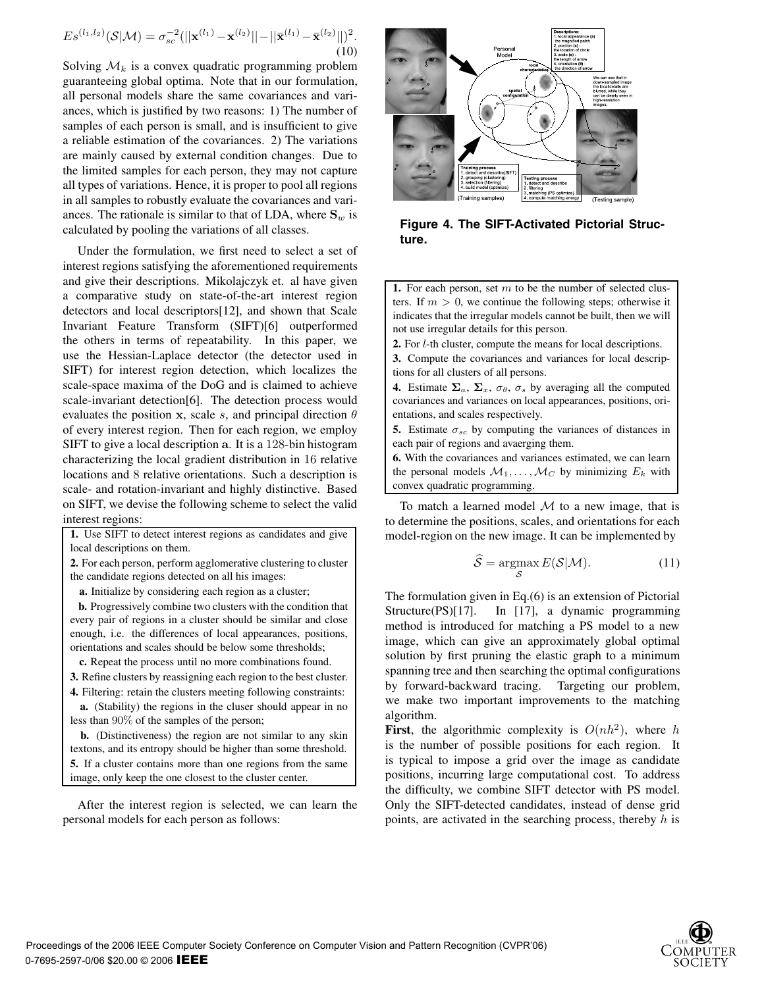$$
E s^{(l_1,l_2)}(\mathcal{S}|\mathcal{M}) = \sigma_{sc}^{-2}(||\mathbf{x}^{(l_1)} - \mathbf{x}^{(l_2)}|| - ||\bar{\mathbf{x}}^{(l_1)} - \bar{\mathbf{x}}^{(l_2)}||)^2.
$$
\n(10)

Solving  $\mathcal{M}_k$  is a convex quadratic programming problem guaranteeing global optima. Note that in our formulation, all personal models share the same covariances and variances, which is justified by two reasons: 1) The number of samples of each person is small, and is insufficient to give a reliable estimation of the covariances. 2) The variations are mainly caused by external condition changes. Due to the limited samples for each person, they may not capture all types of variations. Hence, it is proper to pool all regions in all samples to robustly evaluate the covariances and variances. The rationale is similar to that of LDA, where  $S_w$  is calculated by pooling the variations of all classes.

Under the formulation, we first need to select a set of interest regions satisfying the aforementioned requirements and give their descriptions. Mikolajczyk et. al have given a comparative study on state-of-the-art interest region detectors and local descriptors[12], and shown that Scale Invariant Feature Transform (SIFT)[6] outperformed the others in terms of repeatability. In this paper, we use the Hessian-Laplace detector (the detector used in SIFT) for interest region detection, which localizes the scale-space maxima of the DoG and is claimed to achieve scale-invariant detection[6]. The detection process would evaluates the position **x**, scale s, and principal direction  $\theta$ of every interest region. Then for each region, we employ SIFT to give a local description **<sup>a</sup>**. It is a 128-bin histogram characterizing the local gradient distribution in 16 relative locations and 8 relative orientations. Such a description is scale- and rotation-invariant and highly distinctive. Based on SIFT, we devise the following scheme to select the valid interest regions:

**1.** Use SIFT to detect interest regions as candidates and give local descriptions on them.

**2.** For each person, perform agglomerative clustering to cluster the candidate regions detected on all his images:

**a.** Initialize by considering each region as a cluster;

**b.** Progressively combine two clusters with the condition that every pair of regions in a cluster should be similar and close enough, i.e. the differences of local appearances, positions, orientations and scales should be below some thresholds;

**c.** Repeat the process until no more combinations found.

**3.** Refine clusters by reassigning each region to the best cluster.

**4.** Filtering: retain the clusters meeting following constraints:

**a.** (Stability) the regions in the cluser should appear in no less than 90% of the samples of the person;

**b.** (Distinctiveness) the region are not similar to any skin textons, and its entropy should be higher than some threshold. **5.** If a cluster contains more than one regions from the same image, only keep the one closest to the cluster center.

After the interest region is selected, we can learn the personal models for each person as follows:



**Figure 4. The SIFT-Activated Pictorial Structure.**

**1.** For each person, set m to be the number of selected clusters. If  $m > 0$ , we continue the following steps; otherwise it indicates that the irregular models cannot be built, then we will not use irregular details for this person.

**2.** For l-th cluster, compute the means for local descriptions.

**3.** Compute the covariances and variances for local descriptions for all clusters of all persons.

**4.** Estimate  $\Sigma_a$ ,  $\Sigma_x$ ,  $\sigma_\theta$ ,  $\sigma_s$  by averaging all the computed covariances and variances on local appearances, positions, orientations, and scales respectively.

**5.** Estimate  $\sigma_{sc}$  by computing the variances of distances in each pair of regions and avaerging them.

**6.** With the covariances and variances estimated, we can learn the personal models  $M_1, \ldots, M_C$  by minimizing  $E_k$  with convex quadratic programming.

To match a learned model  $M$  to a new image, that is to determine the positions, scales, and orientations for each model-region on the new image. It can be implemented by

$$
\widehat{S} = \operatorname*{argmax}_{S} E(S|M). \tag{11}
$$

The formulation given in Eq.(6) is an extension of Pictorial Structure(PS)[17]. In [17], a dynamic programming method is introduced for matching a PS model to a new image, which can give an approximately global optimal solution by first pruning the elastic graph to a minimum spanning tree and then searching the optimal configurations by forward-backward tracing. Targeting our problem, we make two important improvements to the matching algorithm.

**First**, the algorithmic complexity is  $O(nh^2)$ , where h is the number of possible positions for each region. It is typical to impose a grid over the image as candidate positions, incurring large computational cost. To address the difficulty, we combine SIFT detector with PS model. Only the SIFT-detected candidates, instead of dense grid points, are activated in the searching process, thereby  $h$  is

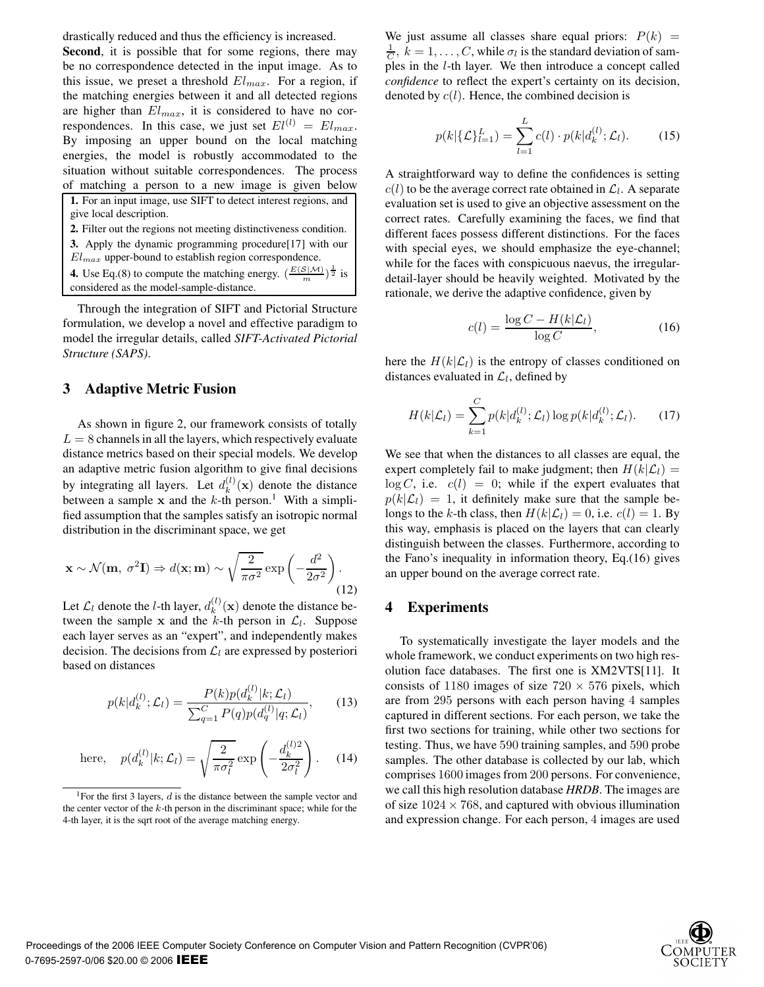drastically reduced and thus the efficiency is increased.

**Second**, it is possible that for some regions, there may be no correspondence detected in the input image. As to this issue, we preset a threshold  $El_{max}$ . For a region, if the matching energies between it and all detected regions are higher than  $El_{max}$ , it is considered to have no correspondences. In this case, we just set  $El^{(l)} = El_{max}$ . By imposing an upper bound on the local matching energies, the model is robustly accommodated to the situation without suitable correspondences. The process of matching a person to a new image is given below **1.** For an input image, use SIFT to detect interest regions, and give local description. **2.** Filter out the regions not meeting distinctiveness condition. **3.** Apply the dynamic programming procedure[17] with our  $El_{max}$  upper-bound to establish region correspondence. **4.** Use Eq.(8) to compute the matching energy.  $\left(\frac{E(S|M)}{m}\right)^{\frac{1}{2}}$  is considered as the model-sample-distance.

Through the integration of SIFT and Pictorial Structure formulation, we develop a novel and effective paradigm to model the irregular details, called *SIFT-Activated Pictorial Structure (SAPS)*.

## **3 Adaptive Metric Fusion**

As shown in figure 2, our framework consists of totally  $L = 8$  channels in all the layers, which respectively evaluate distance metrics based on their special models. We develop an adaptive metric fusion algorithm to give final decisions by integrating all layers. Let  $d_k^{(l)}(\mathbf{x})$  denote the distance<br>between a sample x and the *k*-th person <sup>1</sup> With a simplibetween a sample  $x$  and the  $k$ -th person.<sup>1</sup> With a simplified assumption that the samples satisfy an isotropic normal distribution in the discriminant space, we get

$$
\mathbf{x} \sim \mathcal{N}(\mathbf{m}, \sigma^2 \mathbf{I}) \Rightarrow d(\mathbf{x}; \mathbf{m}) \sim \sqrt{\frac{2}{\pi \sigma^2}} \exp\left(-\frac{d^2}{2\sigma^2}\right).
$$
\n(12)

Let  $\mathcal{L}_l$  denote the *l*-th layer,  $d_k^{(l)}(\mathbf{x})$  denote the distance be-<br>tween the sample x and the *k*-th person in  $\mathcal{L}_l$ . Suppose tween the sample  $x$  and the k-th person in  $\mathcal{L}_l$ . Suppose each layer serves as an "expert", and independently makes decision. The decisions from  $\mathcal{L}_l$  are expressed by posteriori based on distances

$$
p(k|d_k^{(l)}; \mathcal{L}_l) = \frac{P(k)p(d_k^{(l)}|k; \mathcal{L}_l)}{\sum_{q=1}^C P(q)p(d_q^{(l)}|q; \mathcal{L}_l)},
$$
(13)

here, 
$$
p(d_k^{(l)}|k; \mathcal{L}_l) = \sqrt{\frac{2}{\pi \sigma_l^2}} \exp\left(-\frac{d_k^{(l)2}}{2\sigma_l^2}\right).
$$
 (14)

We just assume all classes share equal priors:  $P(k)$  =  $\frac{1}{C}$ ,  $k = 1, ..., C$ , while  $\sigma_l$  is the standard deviation of sam-<br>ples in the *l*-th layer. We then introduce a concent called ples in the l-th layer. We then introduce a concept called *confidence* to reflect the expert's certainty on its decision, denoted by  $c(l)$ . Hence, the combined decision is

$$
p(k|\{\mathcal{L}\}_{l=1}^{L}) = \sum_{l=1}^{L} c(l) \cdot p(k|d_k^{(l)}; \mathcal{L}_l).
$$
 (15)

A straightforward way to define the confidences is setting  $c(l)$  to be the average correct rate obtained in  $\mathcal{L}_l$ . A separate evaluation set is used to give an objective assessment on the correct rates. Carefully examining the faces, we find that different faces possess different distinctions. For the faces with special eyes, we should emphasize the eye-channel; while for the faces with conspicuous naevus, the irregulardetail-layer should be heavily weighted. Motivated by the rationale, we derive the adaptive confidence, given by

$$
c(l) = \frac{\log C - H(k|\mathcal{L}_l)}{\log C},\tag{16}
$$

here the  $H(k|\mathcal{L}_l)$  is the entropy of classes conditioned on distances evaluated in  $\mathcal{L}_l$ , defined by

$$
H(k|\mathcal{L}_l) = \sum_{k=1}^{C} p(k|d_k^{(l)}; \mathcal{L}_l) \log p(k|d_k^{(l)}; \mathcal{L}_l).
$$
 (17)

We see that when the distances to all classes are equal, the expert completely fail to make judgment; then  $H(k|\mathcal{L}_l)$  =  $\log C$ , i.e.  $c(l) = 0$ ; while if the expert evaluates that  $p(k|\mathcal{L}_l)=1$ , it definitely make sure that the sample belongs to the k-th class, then  $H(k|\mathcal{L}_l)=0$ , i.e.  $c(l)=1$ . By this way, emphasis is placed on the layers that can clearly distinguish between the classes. Furthermore, according to the Fano's inequality in information theory, Eq.(16) gives an upper bound on the average correct rate.

#### **4 Experiments**

To systematically investigate the layer models and the whole framework, we conduct experiments on two high resolution face databases. The first one is XM2VTS[11]. It consists of 1180 images of size  $720 \times 576$  pixels, which are from 295 persons with each person having 4 samples captured in different sections. For each person, we take the first two sections for training, while other two sections for testing. Thus, we have 590 training samples, and 590 probe samples. The other database is collected by our lab, which comprises 1600 images from 200 persons. For convenience, we call this high resolution database *HRDB*. The images are of size  $1024 \times 768$ , and captured with obvious illumination and expression change. For each person, 4 images are used



<sup>&</sup>lt;sup>1</sup>For the first 3 layers,  $d$  is the distance between the sample vector and the center vector of the  $k$ -th person in the discriminant space; while for the 4-th layer, it is the sqrt root of the average matching energy.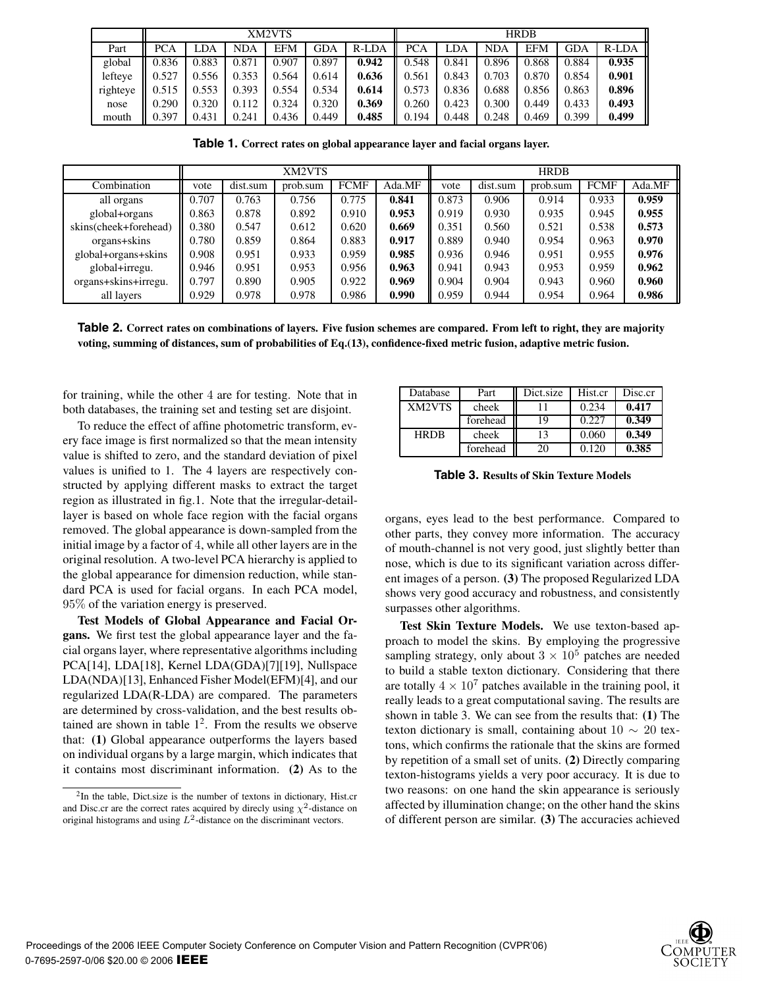|          | XM2VTS     |       |       |            |       |       | <b>HRDB</b> |       |            |            |            |       |
|----------|------------|-------|-------|------------|-------|-------|-------------|-------|------------|------------|------------|-------|
| Part     | <b>PCA</b> | LDA   | NDA   | <b>EFM</b> | GDA   | R-LDA | <b>PCA</b>  | LDA   | <b>NDA</b> | <b>EFM</b> | <b>GDA</b> | R-LDA |
| global   | 0.836      | 0.883 | 0.871 | 0.907      | 0.897 | 0.942 | 0.548       | 0.841 | 0.896      | 0.868      | 0.884      | 0.935 |
| lefteye  | 0.527      | 0.556 | 0.353 | 0.564      | 0.614 | 0.636 | 0.561       | 0.843 | 0.703      | 0.870      | 0.854      | 0.901 |
| righteye | 0.515      | 0.553 | 0.393 | 0.554      | 0.534 | 0.614 | 0.573       | 0.836 | 0.688      | 0.856      | 0.863      | 0.896 |
| nose     | 0.290      | 0.320 | 0.112 | 0.324      | 0.320 | 0.369 | 0.260       | 0.423 | 0.300      | 0.449      | 0.433      | 0.493 |
| mouth    | 0.397      | 0.431 | 0.241 | 0.436      | 0.449 | 0.485 | 0.194       | 0.448 | 0.248      | 0.469      | 0.399      | 0.499 |

**Table 1. Correct rates on global appearance layer and facial organs layer.**

|                       |       |          | XM2VTS   |             |        | <b>HRDB</b> |          |          |             |        |
|-----------------------|-------|----------|----------|-------------|--------|-------------|----------|----------|-------------|--------|
| Combination           | vote  | dist.sum | prob.sum | <b>FCMF</b> | Ada.MF | vote        | dist.sum | prob.sum | <b>FCMF</b> | Ada.MF |
| all organs            | 0.707 | 0.763    | 0.756    | 0.775       | 0.841  | 0.873       | 0.906    | 0.914    | 0.933       | 0.959  |
| global+organs         | 0.863 | 0.878    | 0.892    | 0.910       | 0.953  | 0.919       | 0.930    | 0.935    | 0.945       | 0.955  |
| skins(cheek+forehead) | 0.380 | 0.547    | 0.612    | 0.620       | 0.669  | 0.351       | 0.560    | 0.521    | 0.538       | 0.573  |
| organs+skins          | 0.780 | 0.859    | 0.864    | 0.883       | 0.917  | 0.889       | 0.940    | 0.954    | 0.963       | 0.970  |
| global+organs+skins   | 0.908 | 0.951    | 0.933    | 0.959       | 0.985  | 0.936       | 0.946    | 0.951    | 0.955       | 0.976  |
| global+irregu.        | 0.946 | 0.951    | 0.953    | 0.956       | 0.963  | 0.941       | 0.943    | 0.953    | 0.959       | 0.962  |
| organs+skins+irregu.  | 0.797 | 0.890    | 0.905    | 0.922       | 0.969  | 0.904       | 0.904    | 0.943    | 0.960       | 0.960  |
| all layers            | 0.929 | 0.978    | 0.978    | 0.986       | 0.990  | 0.959       | 0.944    | 0.954    | 0.964       | 0.986  |

**Table 2. Correct rates on combinations of layers. Five fusion schemes are compared. From left to right, they are majority voting, summing of distances, sum of probabilities of Eq.(13), confidence-fixed metric fusion, adaptive metric fusion.**

for training, while the other 4 are for testing. Note that in both databases, the training set and testing set are disjoint.

To reduce the effect of affine photometric transform, every face image is first normalized so that the mean intensity value is shifted to zero, and the standard deviation of pixel values is unified to 1. The 4 layers are respectively constructed by applying different masks to extract the target region as illustrated in fig.1. Note that the irregular-detaillayer is based on whole face region with the facial organs removed. The global appearance is down-sampled from the initial image by a factor of 4, while all other layers are in the original resolution. A two-level PCA hierarchy is applied to the global appearance for dimension reduction, while standard PCA is used for facial organs. In each PCA model, 95% of the variation energy is preserved.

**Test Models of Global Appearance and Facial Organs.** We first test the global appearance layer and the facial organs layer, where representative algorithms including PCA[14], LDA[18], Kernel LDA(GDA)[7][19], Nullspace LDA(NDA)[13], Enhanced Fisher Model(EFM)[4], and our regularized LDA(R-LDA) are compared. The parameters are determined by cross-validation, and the best results obtained are shown in table  $1<sup>2</sup>$ . From the results we observe that: **(1)** Global appearance outperforms the layers based on individual organs by a large margin, which indicates that it contains most discriminant information. **(2)** As to the

| Database    | Part     | Dict.size | Hist.cr | Disc.cr |
|-------------|----------|-----------|---------|---------|
| XM2VTS      | cheek    |           | 0.234   | 0.417   |
|             | forehead | 19        | 0.227   | 0.349   |
| <b>HRDB</b> | cheek    | 13        | 0.060   | 0.349   |
|             | forehead | 20        | 0.120   | 0.385   |

**Table 3. Results of Skin Texture Models**

organs, eyes lead to the best performance. Compared to other parts, they convey more information. The accuracy of mouth-channel is not very good, just slightly better than nose, which is due to its significant variation across different images of a person. **(3)** The proposed Regularized LDA shows very good accuracy and robustness, and consistently surpasses other algorithms.

**Test Skin Texture Models.** We use texton-based approach to model the skins. By employing the progressive sampling strategy, only about  $3 \times 10^5$  patches are needed to build a stable texton dictionary. Considering that there are totally  $4 \times 10^7$  patches available in the training pool, it really leads to a great computational saving. The results are shown in table 3. We can see from the results that: **(1)** The texton dictionary is small, containing about  $10 \sim 20$  textons, which confirms the rationale that the skins are formed by repetition of a small set of units. **(2)** Directly comparing texton-histograms yields a very poor accuracy. It is due to two reasons: on one hand the skin appearance is seriously affected by illumination change; on the other hand the skins of different person are similar. **(3)** The accuracies achieved

<sup>2</sup>In the table, Dict.size is the number of textons in dictionary, Hist.cr and Disc.cr are the correct rates acquired by direcly using  $\chi^2$ -distance on original histograms and using  $L^2$ -distance on the discriminant vectors.